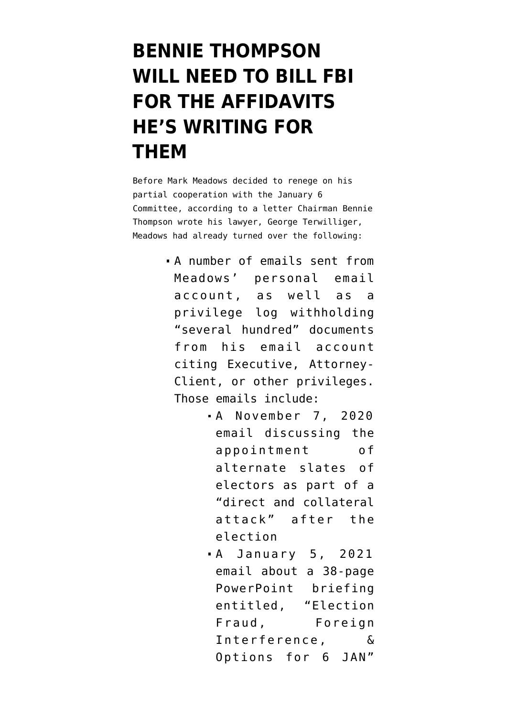## **[BENNIE THOMPSON](https://www.emptywheel.net/2021/12/09/bennie-thompson-will-need-to-bill-fbi-for-the-affidavits-hes-writing-for-them/) [WILL NEED TO BILL FBI](https://www.emptywheel.net/2021/12/09/bennie-thompson-will-need-to-bill-fbi-for-the-affidavits-hes-writing-for-them/) [FOR THE AFFIDAVITS](https://www.emptywheel.net/2021/12/09/bennie-thompson-will-need-to-bill-fbi-for-the-affidavits-hes-writing-for-them/) [HE'S WRITING FOR](https://www.emptywheel.net/2021/12/09/bennie-thompson-will-need-to-bill-fbi-for-the-affidavits-hes-writing-for-them/) [THEM](https://www.emptywheel.net/2021/12/09/bennie-thompson-will-need-to-bill-fbi-for-the-affidavits-hes-writing-for-them/)**

Before Mark Meadows decided to renege on his partial cooperation with the January 6 Committee, according to [a letter](https://january6th.house.gov/sites/democrats.january6th.house.gov/files/2021-12-7.BGT%20Letter%20to%20Terwilliger%20re%20Meadows%20_Redacted.pdf) Chairman Bennie Thompson wrote his lawyer, George Terwilliger, Meadows had already turned over the following:

- A number of emails sent from Meadows' personal email account, as well as a privilege log withholding "several hundred" documents from his email account citing Executive, Attorney-Client, or other privileges. Those emails include:
	- A November 7, 2020 email discussing the appointment of alternate slates of electors as part of a "direct and collateral attack" after the election
	- A January 5, 2021 email about a 38-page PowerPoint briefing entitled, "Election Fraud, Foreign Interference, & Options for 6 JAN"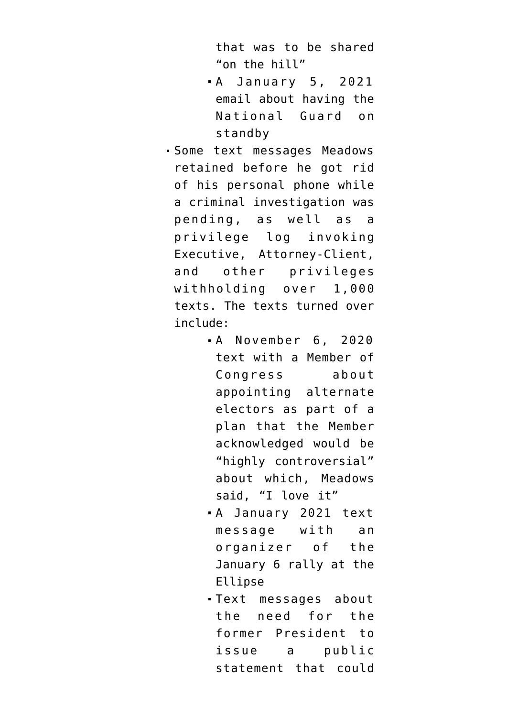that was to be shared "on the hill"

- A January 5, 2021 email about having the National Guard on standby
- Some text messages Meadows retained before he got rid of his personal phone while a criminal investigation was pending, as well as a privilege log invoking Executive, Attorney-Client, and other privileges withholding over 1,000 texts. The texts turned over include:
	- A November 6, 2020 text with a Member of Congress about appointing alternate electors as part of a plan that the Member acknowledged would be "highly controversial" about which, Meadows said, "I love it"
	- A January 2021 text message with an organizer of the January 6 rally at the Ellipse
	- Text messages about the need for the former President to issue a public statement that could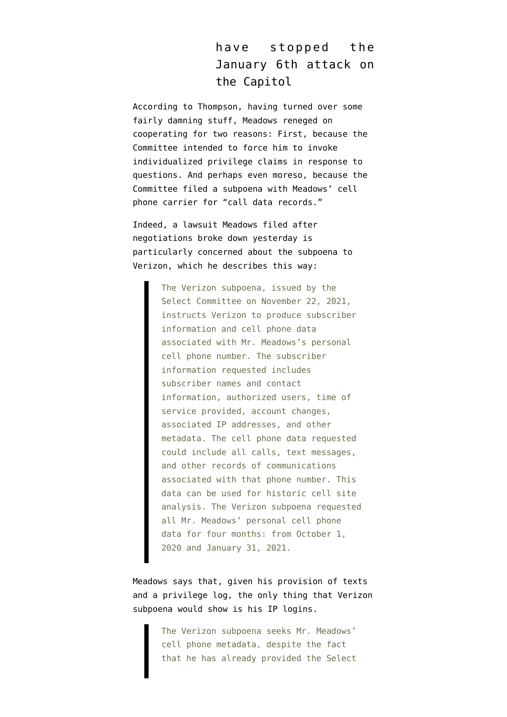## have stopped the January 6th attack on the Capitol

According to Thompson, having turned over some fairly damning stuff, Meadows reneged on cooperating for two reasons: First, because the Committee intended to force him to invoke individualized privilege claims in response to questions. And perhaps even moreso, because the Committee filed a subpoena with Meadows' cell phone carrier for "call data records."

Indeed, a [lawsuit](https://s3.documentcloud.org/documents/21150690/12-8-21-meadows-v-pelosi-complaint.pdf) Meadows filed after negotiations broke down yesterday is particularly concerned about [the subpoena to](https://s3.documentcloud.org/documents/21150690/12-8-21-meadows-v-pelosi-complaint.pdf) [Verizon,](https://s3.documentcloud.org/documents/21150690/12-8-21-meadows-v-pelosi-complaint.pdf) which he describes this way:

> The Verizon subpoena, issued by the Select Committee on November 22, 2021, instructs Verizon to produce subscriber information and cell phone data associated with Mr. Meadows's personal cell phone number. The subscriber information requested includes subscriber names and contact information, authorized users, time of service provided, account changes, associated IP addresses, and other metadata. The cell phone data requested could include all calls, text messages, and other records of communications associated with that phone number. This data can be used for historic cell site analysis. The Verizon subpoena requested all Mr. Meadows' personal cell phone data for four months: from October 1, 2020 and January 31, 2021.

Meadows says that, given his provision of texts and a privilege log, the only thing that Verizon subpoena would show is his IP logins.

> The Verizon subpoena seeks Mr. Meadows' cell phone metadata, despite the fact that he has already provided the Select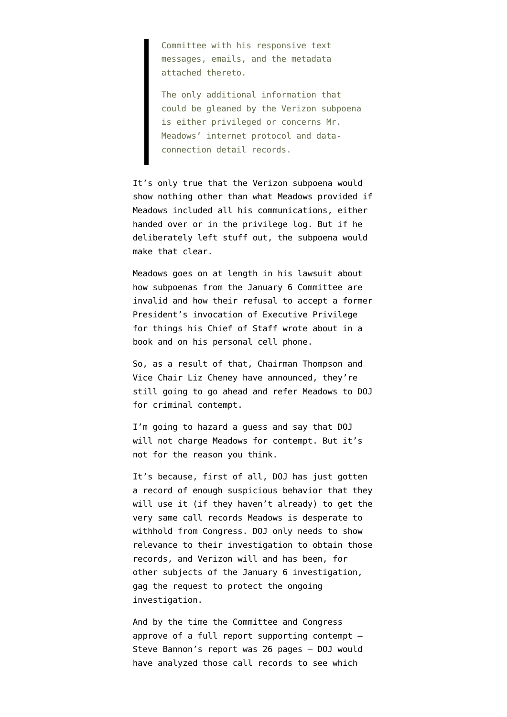Committee with his responsive text messages, emails, and the metadata attached thereto.

The only additional information that could be gleaned by the Verizon subpoena is either privileged or concerns Mr. Meadows' internet protocol and dataconnection detail records.

It's only true that the Verizon subpoena would show nothing other than what Meadows provided if Meadows included all his communications, either handed over or in the privilege log. But if he deliberately left stuff out, the subpoena would make that clear.

Meadows goes on at length in his lawsuit about how subpoenas from the January 6 Committee are invalid and how their refusal to accept a former President's invocation of Executive Privilege for things his Chief of Staff wrote about in a book and on his personal cell phone.

So, as a result of that, Chairman Thompson and Vice Chair Liz Cheney have [announced](https://january6th.house.gov/news/press-releases/thompson-cheney-statement-mark-meadows-2), they're still going to go ahead and refer Meadows to DOJ for criminal contempt.

I'm going to hazard a guess and say that DOJ will not charge Meadows for contempt. But it's not for [the reason you think](https://www.emptywheel.net/2021/12/03/ten-things-tv-lawyers-can-do-rather-than-whinging-about-merrick-garland/).

It's because, first of all, DOJ has just gotten a record of enough suspicious behavior that they will use it (if they haven't already) to get the very same call records Meadows is desperate to withhold from Congress. DOJ only needs to show relevance to their investigation to obtain those records, and Verizon will and has been, for other subjects of the January 6 investigation, gag the request to protect the ongoing investigation.

And by the time the Committee and Congress approve of a full report supporting contempt — [Steve Bannon's report was 26 pages](https://s3.documentcloud.org/documents/21088101/bannon-contempt-report.pdf) — DOJ would have analyzed those call records to see which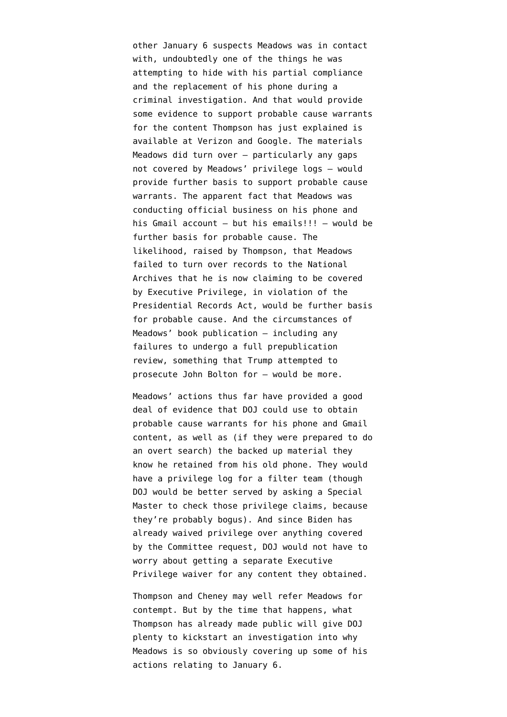other January 6 suspects Meadows was in contact with, undoubtedly one of the things he was attempting to hide with his partial compliance and the replacement of his phone during a criminal investigation. And that would provide some evidence to support probable cause warrants for the content Thompson has just explained is available at Verizon and Google. The materials Meadows did turn over — particularly any gaps not covered by Meadows' privilege logs — would provide further basis to support probable cause warrants. The apparent fact that Meadows was conducting official business on his phone and his Gmail account — but his emails!!! — would be further basis for probable cause. The likelihood, raised by Thompson, that Meadows failed to turn over records to the National Archives that he is now claiming to be covered by Executive Privilege, in violation of the Presidential Records Act, would be further basis for probable cause. And the circumstances of Meadows' book publication — including any failures to undergo a full prepublication review, something that Trump attempted to prosecute John Bolton for — would be more.

Meadows' actions thus far have provided a good deal of evidence that DOJ could use to obtain probable cause warrants for his phone and Gmail content, as well as (if they were prepared to do an overt search) the backed up material they know he retained from his old phone. They would have a privilege log for a filter team (though DOJ would be better served by asking a Special Master to check those privilege claims, because they're probably bogus). And since Biden has already waived privilege over anything covered by the Committee request, DOJ would not have to worry about getting a separate Executive Privilege waiver for any content they obtained.

Thompson and Cheney may well refer Meadows for contempt. But by the time that happens, what Thompson has already made public will give DOJ plenty to kickstart an investigation into why Meadows is so obviously covering up some of his actions relating to January 6.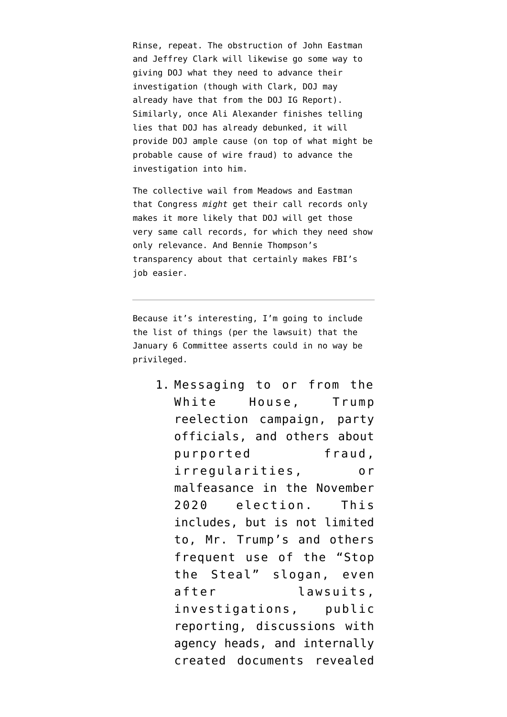Rinse, repeat. The obstruction of John Eastman and Jeffrey Clark will likewise go some way to giving DOJ what they need to advance their investigation (though with Clark, DOJ may already have that from the DOJ IG Report). Similarly, once Ali Alexander finishes telling lies that DOJ has already debunked, it will provide DOJ ample cause (on top of what might be probable cause of wire fraud) to advance the investigation into him.

The collective wail from Meadows and Eastman that Congress *might* get their call records only makes it more likely that DOJ will get those very same call records, for which they need show only relevance. And Bennie Thompson's transparency about that certainly makes FBI's job easier.

Because it's interesting, I'm going to include the list of things (per the lawsuit) that the January 6 Committee asserts could in no way be privileged.

> 1. Messaging to or from the White House, Trump reelection campaign, party officials, and others about purported fraud, irregularities, or malfeasance in the November 2020 election. This includes, but is not limited to, Mr. Trump's and others frequent use of the "Stop the Steal" slogan, even after lawsuits, investigations, public reporting, discussions with agency heads, and internally created documents revealed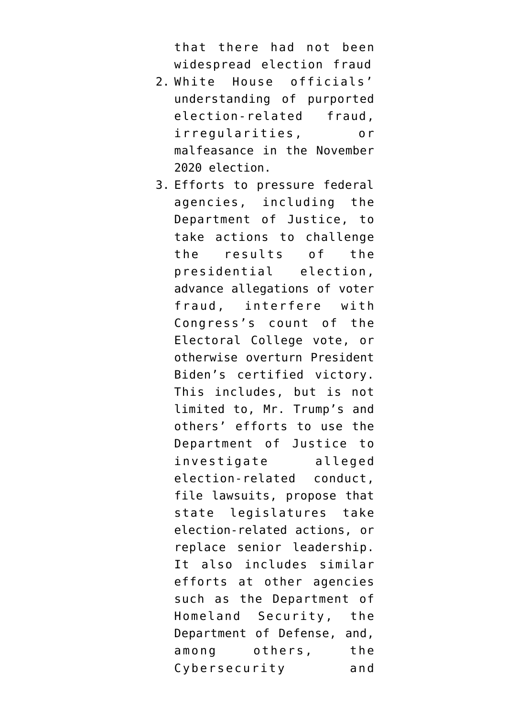that there had not been widespread election fraud

- 2. White House officials' understanding of purported election-related fraud, irregularities, or malfeasance in the November 2020 election.
- 3. Efforts to pressure federal agencies, including the Department of Justice, to take actions to challenge the results of the presidential election, advance allegations of voter fraud, interfere with Congress's count of the Electoral College vote, or otherwise overturn President Biden's certified victory. This includes, but is not limited to, Mr. Trump's and others' efforts to use the Department of Justice to investigate alleged election-related conduct, file lawsuits, propose that state legislatures take election-related actions, or replace senior leadership. It also includes similar efforts at other agencies such as the Department of Homeland Security, the Department of Defense, and, among others, the Cybersecurity and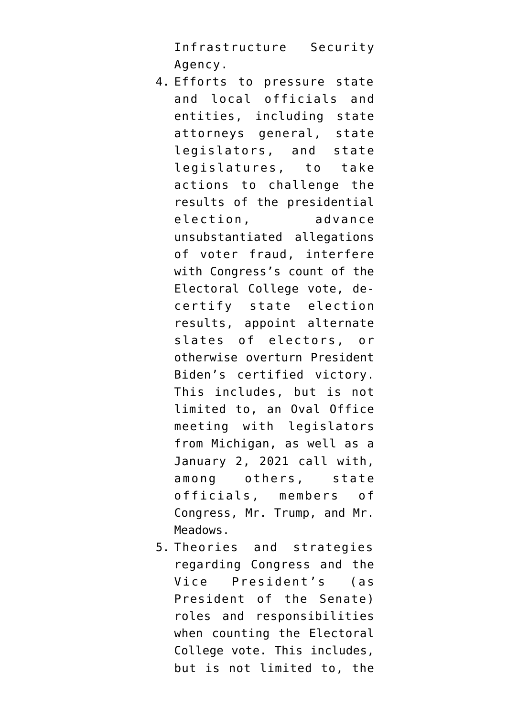Infrastructure Security Agency.

- 4. Efforts to pressure state and local officials and entities, including state attorneys general, state legislators, and state legislatures, to take actions to challenge the results of the presidential election, advance unsubstantiated allegations of voter fraud, interfere with Congress's count of the Electoral College vote, decertify state election results, appoint alternate slates of electors, or otherwise overturn President Biden's certified victory. This includes, but is not limited to, an Oval Office meeting with legislators from Michigan, as well as a January 2, 2021 call with, among others, state officials, members of Congress, Mr. Trump, and Mr. Meadows.
- 5. Theories and strategies regarding Congress and the Vice President's (as President of the Senate) roles and responsibilities when counting the Electoral College vote. This includes, but is not limited to, the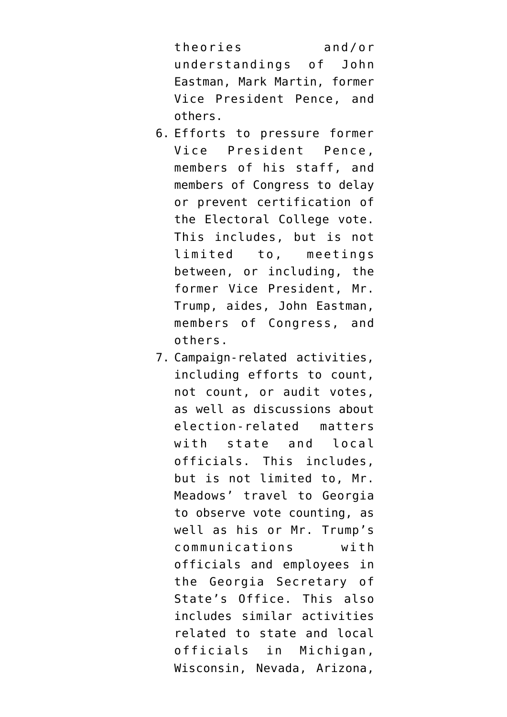theories and/or understandings of John Eastman, Mark Martin, former Vice President Pence, and others.

- 6. Efforts to pressure former Vice President Pence, members of his staff, and members of Congress to delay or prevent certification of the Electoral College vote. This includes, but is not limited to, meetings between, or including, the former Vice President, Mr. Trump, aides, John Eastman, members of Congress, and others.
- 7. Campaign-related activities, including efforts to count, not count, or audit votes, as well as discussions about election-related matters with state and local officials. This includes, but is not limited to, Mr. Meadows' travel to Georgia to observe vote counting, as well as his or Mr. Trump's communications with officials and employees in the Georgia Secretary of State's Office. This also includes similar activities related to state and local officials in Michigan, Wisconsin, Nevada, Arizona,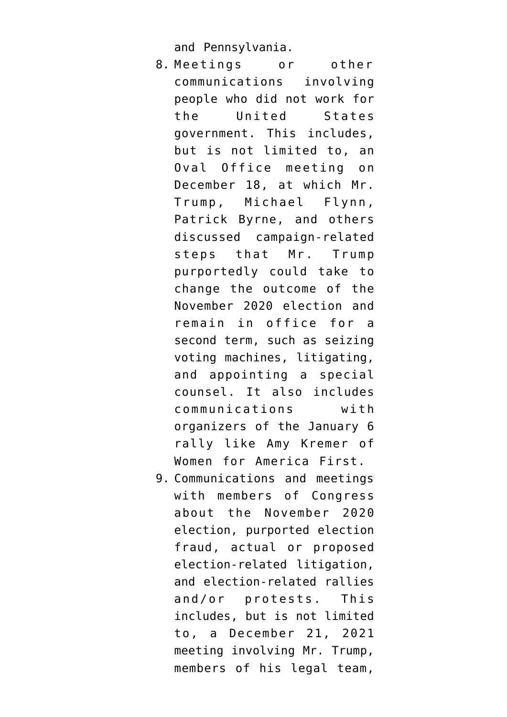and Pennsylvania.

- 8. Meetings or other communications involving people who did not work for the United States government. This includes, but is not limited to, an Oval Office meeting on December 18, at which Mr. Trump, Michael Flynn, Patrick Byrne, and others discussed campaign-related steps that Mr. Trump purportedly could take to change the outcome of the November 2020 election and remain in office for a second term, such as seizing voting machines, litigating, and appointing a special counsel. It also includes communications with organizers of the January 6 rally like Amy Kremer of Women for America First.
- 9. Communications and meetings with members of Congress about the November 2020 election, purported election fraud, actual or proposed election-related litigation, and election-related rallies and/or protests. This includes, but is not limited to, a December 21, 2021 meeting involving Mr. Trump, members of his legal team,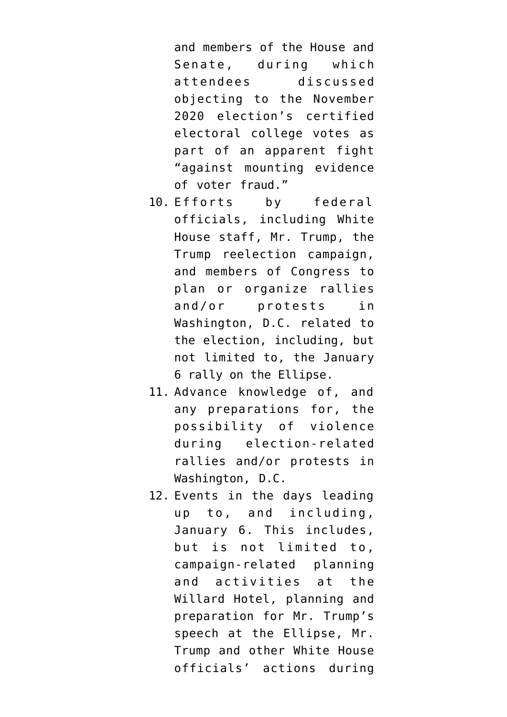and members of the House and Senate, during which attendees discussed objecting to the November 2020 election's certified electoral college votes as part of an apparent fight "against mounting evidence of voter fraud."

- 10. Efforts by federal officials, including White House staff, Mr. Trump, the Trump reelection campaign, and members of Congress to plan or organize rallies and/or protests in Washington, D.C. related to the election, including, but not limited to, the January 6 rally on the Ellipse.
- 11. Advance knowledge of, and any preparations for, the possibility of violence during election-related rallies and/or protests in Washington, D.C.
- 12. Events in the days leading up to, and including, January 6. This includes, but is not limited to, campaign-related planning and activities at the Willard Hotel, planning and preparation for Mr. Trump's speech at the Ellipse, Mr. Trump and other White House officials' actions during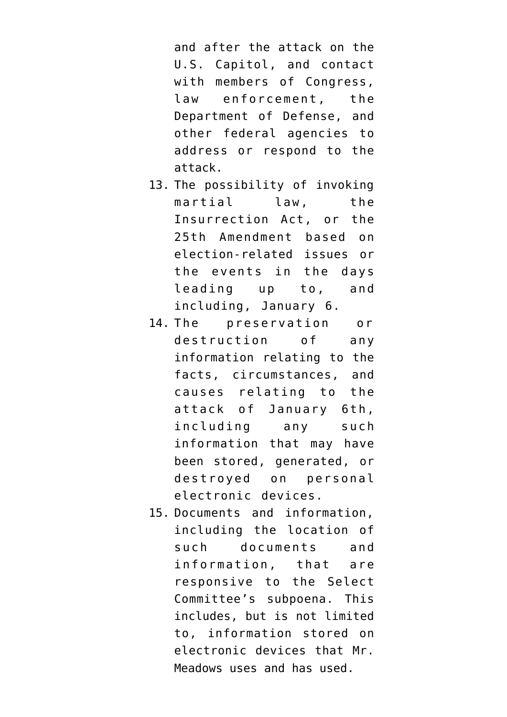and after the attack on the U.S. Capitol, and contact with members of Congress, law enforcement, the Department of Defense, and other federal agencies to address or respond to the attack.

- 13. The possibility of invoking martial law, the Insurrection Act, or the 25th Amendment based on election-related issues or the events in the days leading up to, and including, January 6.
- 14. The preservation or destruction of any information relating to the facts, circumstances, and causes relating to the attack of January 6th, including any such information that may have been stored, generated, or destroyed on personal electronic devices.
- 15. Documents and information, including the location of such documents and information, that are responsive to the Select Committee's subpoena. This includes, but is not limited to, information stored on electronic devices that Mr. Meadows uses and has used.